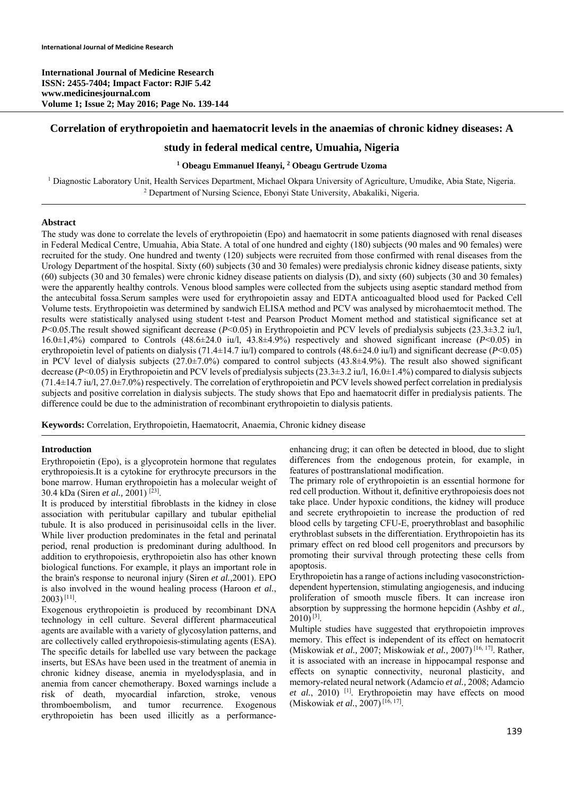**International Journal of Medicine Research ISSN: 2455-7404; Impact Factor: RJIF 5.42 www.medicinesjournal.com Volume 1; Issue 2; May 2016; Page No. 139-144** 

### **Correlation of erythropoietin and haematocrit levels in the anaemias of chronic kidney diseases: A**

## **study in federal medical centre, Umuahia, Nigeria**

## **1 Obeagu Emmanuel Ifeanyi, <sup>2</sup> Obeagu Gertrude Uzoma**

<sup>1</sup> Diagnostic Laboratory Unit, Health Services Department, Michael Okpara University of Agriculture, Umudike, Abia State, Nigeria. <sup>2</sup> Department of Nursing Science, Ebonyi State University, Abakaliki, Nigeria.

### **Abstract**

The study was done to correlate the levels of erythropoietin (Epo) and haematocrit in some patients diagnosed with renal diseases in Federal Medical Centre, Umuahia, Abia State. A total of one hundred and eighty (180) subjects (90 males and 90 females) were recruited for the study. One hundred and twenty (120) subjects were recruited from those confirmed with renal diseases from the Urology Department of the hospital. Sixty (60) subjects (30 and 30 females) were predialysis chronic kidney disease patients, sixty (60) subjects (30 and 30 females) were chronic kidney disease patients on dialysis (D), and sixty (60) subjects (30 and 30 females) were the apparently healthy controls. Venous blood samples were collected from the subjects using aseptic standard method from the antecubital fossa.Serum samples were used for erythropoietin assay and EDTA anticoagualted blood used for Packed Cell Volume tests. Erythropoietin was determined by sandwich ELISA method and PCV was analysed by microhaemtocit method. The results were statistically analysed using student t-test and Pearson Product Moment method and statistical significance set at *P*<0.05. The result showed significant decrease (*P*<0.05) in Erythropoietin and PCV levels of predialysis subjects (23.3±3.2 iu/l, 16.0±1,4%) compared to Controls (48.6±24.0 iu/l, 43.8±4.9%) respectively and showed significant increase (*P*<0.05) in erythropoietin level of patients on dialysis (71.4±14.7 iu/l) compared to controls (48.6±24.0 iu/l) and significant decrease (*P*<0.05) in PCV level of dialysis subjects  $(27.0\pm7.0\%)$  compared to control subjects  $(43.8\pm4.9\%)$ . The result also showed significant decrease (*P*<0.05) in Erythropoietin and PCV levels of predialysis subjects (23.3±3.2 iu/l, 16.0±1.4%) compared to dialysis subjects (71.4±14.7 iu/l, 27.0±7.0%) respectively. The correlation of erythropoietin and PCV levels showed perfect correlation in predialysis subjects and positive correlation in dialysis subjects. The study shows that Epo and haematocrit differ in predialysis patients. The difference could be due to the administration of recombinant erythropoietin to dialysis patients.

**Keywords:** Correlation, Erythropoietin, Haematocrit, Anaemia, Chronic kidney disease

### **Introduction**

Erythropoietin (Epo), is a glycoprotein hormone that regulates erythropoiesis.It is a cytokine for erythrocyte precursors in the bone marrow. Human erythropoietin has a molecular weight of 30.4 kDa (Siren *et al.,* 2001) [23].

It is produced by interstitial fibroblasts in the kidney in close association with peritubular capillary and tubular epithelial tubule. It is also produced in perisinusoidal cells in the liver. While liver production predominates in the fetal and perinatal period, renal production is predominant during adulthood. In addition to erythropoiesis, erythropoietin also has other known biological functions. For example, it plays an important role in the brain's response to neuronal injury (Siren *et al.,*2001). EPO is also involved in the wound healing process (Haroon *et al.*, 2003) [11].

Exogenous erythropoietin is produced by recombinant DNA technology in cell culture. Several different pharmaceutical agents are available with a variety of glycosylation patterns, and are collectively called erythropoiesis-stimulating agents (ESA). The specific details for labelled use vary between the package inserts, but ESAs have been used in the treatment of anemia in chronic kidney disease, anemia in myelodysplasia, and in anemia from cancer chemotherapy. Boxed warnings include a risk of death, myocardial infarction, stroke, venous thromboembolism, and tumor recurrence. Exogenous erythropoietin has been used illicitly as a performanceenhancing drug; it can often be detected in blood, due to slight differences from the endogenous protein, for example, in features of posttranslational modification.

The primary role of erythropoietin is an essential hormone for red cell production. Without it, definitive erythropoiesis does not take place. Under hypoxic conditions, the kidney will produce and secrete erythropoietin to increase the production of red blood cells by targeting CFU-E, proerythroblast and basophilic erythroblast subsets in the differentiation. Erythropoietin has its primary effect on red blood cell progenitors and precursors by promoting their survival through protecting these cells from apoptosis.

Erythropoietin has a range of actions including vasoconstrictiondependent hypertension, stimulating angiogenesis, and inducing proliferation of smooth muscle fibers. It can increase iron absorption by suppressing the hormone hepcidin (Ashby *et al.,*   $2010$ <sup>[3]</sup>.

Multiple studies have suggested that erythropoietin improves memory. This effect is independent of its effect on hematocrit (Miskowiak *et al.,* 2007; Miskowiak *et al.,* 2007) [16, 17]. Rather, it is associated with an increase in hippocampal response and effects on synaptic connectivity, neuronal plasticity, and memory-related neural network (Adamcio *et al.,* 2008; Adamcio et al., 2010) <sup>[1]</sup>. Erythropoietin may have effects on mood (Miskowiak *et al.*, 2007) [16, 17].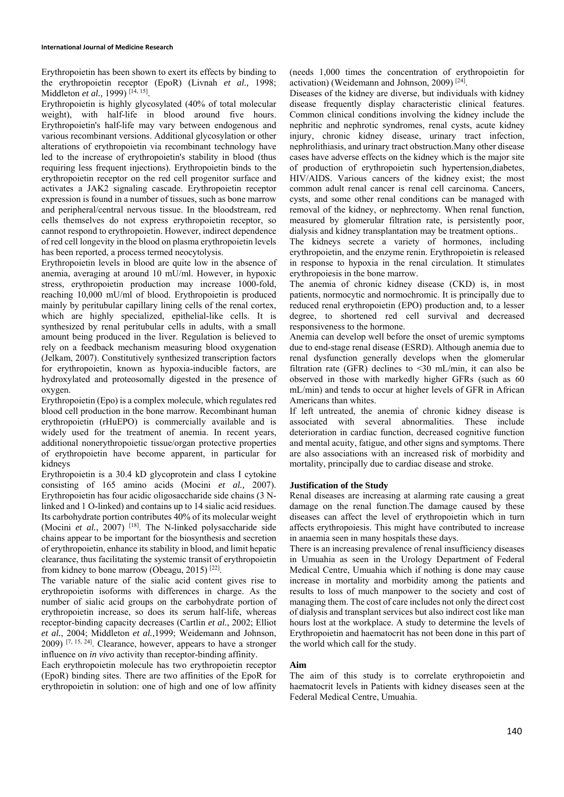Erythropoietin has been shown to exert its effects by binding to the erythropoietin receptor (EpoR) (Livnah *et al.,* 1998; Middleton *et al.*, 1999)<sup>[14, 15]</sup>.

Erythropoietin is highly glycosylated (40% of total molecular weight), with half-life in blood around five hours. Erythropoietin's half-life may vary between endogenous and various recombinant versions. Additional glycosylation or other alterations of erythropoietin via recombinant technology have led to the increase of erythropoietin's stability in blood (thus requiring less frequent injections). Erythropoietin binds to the erythropoietin receptor on the red cell progenitor surface and activates a JAK2 signaling cascade. Erythropoietin receptor expression is found in a number of tissues, such as bone marrow and peripheral/central nervous tissue. In the bloodstream, red cells themselves do not express erythropoietin receptor, so cannot respond to erythropoietin. However, indirect dependence of red cell longevity in the blood on plasma erythropoietin levels has been reported, a process termed neocytolysis.

Erythropoietin levels in blood are quite low in the absence of anemia, averaging at around 10 mU/ml. However, in hypoxic stress, erythropoietin production may increase 1000-fold, reaching 10,000 mU/ml of blood. Erythropoietin is produced mainly by peritubular capillary lining cells of the renal cortex, which are highly specialized, epithelial-like cells. It is synthesized by renal peritubular cells in adults, with a small amount being produced in the liver. Regulation is believed to rely on a feedback mechanism measuring blood oxygenation (Jelkam, 2007). Constitutively synthesized transcription factors for erythropoietin, known as hypoxia-inducible factors, are hydroxylated and proteosomally digested in the presence of oxygen.

Erythropoietin (Epo) is a complex molecule, which regulates red blood cell production in the bone marrow. Recombinant human erythropoietin (rHuEPO) is commercially available and is widely used for the treatment of anemia. In recent years, additional nonerythropoietic tissue/organ protective properties of erythropoietin have become apparent, in particular for kidneys

Erythropoietin is a 30.4 kD glycoprotein and class I cytokine consisting of 165 amino acids (Mocini *et al.,* 2007). Erythropoietin has four acidic oligosaccharide side chains (3 Nlinked and 1 O-linked) and contains up to 14 sialic acid residues. Its carbohydrate portion contributes 40% of its molecular weight (Mocini et al., 2007)<sup>[18]</sup>. The N-linked polysaccharide side chains appear to be important for the biosynthesis and secretion of erythropoietin, enhance its stability in blood, and limit hepatic clearance, thus facilitating the systemic transit of erythropoietin from kidney to bone marrow (Obeagu, 2015) [22].

The variable nature of the sialic acid content gives rise to erythropoietin isoforms with differences in charge. As the number of sialic acid groups on the carbohydrate portion of erythropoietin increase, so does its serum half-life, whereas receptor-binding capacity decreases (Cartlin *et al.,* 2002; Elliot *et al.*, 2004; Middleton *et al.,*1999; Weidemann and Johnson,  $2009$ )  $[7, 15, 24]$ . Clearance, however, appears to have a stronger influence on *in vivo* activity than receptor-binding affinity.

Each erythropoietin molecule has two erythropoietin receptor (EpoR) binding sites. There are two affinities of the EpoR for erythropoietin in solution: one of high and one of low affinity (needs 1,000 times the concentration of erythropoietin for activation) (Weidemann and Johnson, 2009)  $[24]$ .

Diseases of the kidney are diverse, but individuals with kidney disease frequently display characteristic clinical features. Common clinical conditions involving the kidney include the nephritic and nephrotic syndromes, renal cysts, acute kidney injury, chronic kidney disease, urinary tract infection, nephrolithiasis, and urinary tract obstruction.Many other disease cases have adverse effects on the kidney which is the major site of production of erythropoietin such hypertension,diabetes, HIV/AIDS. Various cancers of the kidney exist; the most common adult renal cancer is renal cell carcinoma. Cancers, cysts, and some other renal conditions can be managed with removal of the kidney, or nephrectomy. When renal function, measured by glomerular filtration rate, is persistently poor, dialysis and kidney transplantation may be treatment options..

The kidneys secrete a variety of hormones, including erythropoietin, and the enzyme renin. Erythropoietin is released in response to hypoxia in the renal circulation. It stimulates erythropoiesis in the bone marrow.

The anemia of chronic kidney disease (CKD) is, in most patients, normocytic and normochromic. It is principally due to reduced renal erythropoietin (EPO) production and, to a lesser degree, to shortened red cell survival and decreased responsiveness to the hormone.

Anemia can develop well before the onset of uremic symptoms due to end-stage renal disease (ESRD). Although anemia due to renal dysfunction generally develops when the glomerular filtration rate (GFR) declines to  $\leq 30$  mL/min, it can also be observed in those with markedly higher GFRs (such as 60 mL/min) and tends to occur at higher levels of GFR in African Americans than whites.

If left untreated, the anemia of chronic kidney disease is associated with several abnormalities. These include deterioration in cardiac function, decreased cognitive function and mental acuity, fatigue, and other signs and symptoms. There are also associations with an increased risk of morbidity and mortality, principally due to cardiac disease and stroke.

### **Justification of the Study**

Renal diseases are increasing at alarming rate causing a great damage on the renal function.The damage caused by these diseases can affect the level of erythropoietin which in turn affects erythropoiesis. This might have contributed to increase in anaemia seen in many hospitals these days.

There is an increasing prevalence of renal insufficiency diseases in Umuahia as seen in the Urology Department of Federal Medical Centre, Umuahia which if nothing is done may cause increase in mortality and morbidity among the patients and results to loss of much manpower to the society and cost of managing them. The cost of care includes not only the direct cost of dialysis and transplant services but also indirect cost like man hours lost at the workplace. A study to determine the levels of Erythropoietin and haematocrit has not been done in this part of the world which call for the study.

#### **Aim**

The aim of this study is to correlate erythropoietin and haematocrit levels in Patients with kidney diseases seen at the Federal Medical Centre, Umuahia.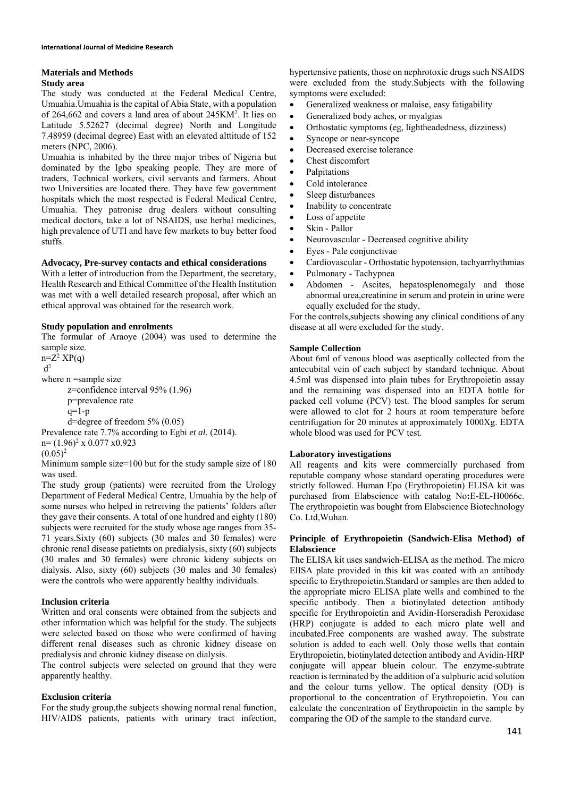# **Materials and Methods**

## **Study area**

The study was conducted at the Federal Medical Centre, Umuahia.Umuahia is the capital of Abia State, with a population of 264,662 and covers a land area of about 245KM<sup>2</sup>. It lies on Latitude 5.52627 (decimal degree) North and Longitude 7.48959 (decimal degree) East with an elevated alttitude of 152 meters (NPC, 2006).

Umuahia is inhabited by the three major tribes of Nigeria but dominated by the Igbo speaking people. They are more of traders, Technical workers, civil servants and farmers. About two Universities are located there. They have few government hospitals which the most respected is Federal Medical Centre, Umuahia. They patronise drug dealers without consulting medical doctors, take a lot of NSAIDS, use herbal medicines, high prevalence of UTI and have few markets to buy better food stuffs.

## **Advocacy, Pre-survey contacts and ethical considerations**

With a letter of introduction from the Department, the secretary, Health Research and Ethical Committee of the Health Institution was met with a well detailed research proposal, after which an ethical approval was obtained for the research work.

## **Study population and enrolments**

The formular of Araoye (2004) was used to determine the sample size.  $n=Z^2$   $XP(q)$  $\mathbf{d}^2$ where n =sample size z=confidence interval 95% (1.96) p=prevalence rate

 $q=1-p$ d=degree of freedom 5% (0.05) Prevalence rate 7.7% according to Egbi *et al*. (2014).  $n = (1.96)^2 \times 0.077 \times 0.923$ 

$$
(0.05)^2
$$

Minimum sample size=100 but for the study sample size of 180 was used.

The study group (patients) were recruited from the Urology Department of Federal Medical Centre, Umuahia by the help of some nurses who helped in retreiving the patients' folders after they gave their consents. A total of one hundred and eighty (180) subjects were recruited for the study whose age ranges from 35- 71 years.Sixty (60) subjects (30 males and 30 females) were chronic renal disease patietnts on predialysis, sixty (60) subjects (30 males and 30 females) were chronic kideny subjects on dialysis. Also, sixty (60) subjects (30 males and 30 females) were the controls who were apparently healthy individuals.

## **Inclusion criteria**

Written and oral consents were obtained from the subjects and other information which was helpful for the study. The subjects were selected based on those who were confirmed of having different renal diseases such as chronic kidney disease on predialysis and chronic kidney disease on dialysis.

The control subjects were selected on ground that they were apparently healthy.

## **Exclusion criteria**

For the study group,the subjects showing normal renal function, HIV/AIDS patients, patients with urinary tract infection, hypertensive patients, those on nephrotoxic drugs such NSAIDS were excluded from the study.Subjects with the following symptoms were excluded:

- Generalized weakness or malaise, easy fatigability
- Generalized body aches, or myalgias
- Orthostatic symptoms (eg, lightheadedness, dizziness)
- Syncope or near-syncope
- Decreased exercise tolerance
- Chest discomfort
- Palpitations
- Cold intolerance
- Sleep disturbances
- Inability to concentrate
- Loss of appetite
- Skin Pallor
- Neurovascular Decreased cognitive ability
- Eyes Pale conjunctivae
- Cardiovascular Orthostatic hypotension, tachyarrhythmias
- Pulmonary Tachypnea
- Abdomen Ascites, hepatosplenomegaly and those abnormal urea,creatinine in serum and protein in urine were equally excluded for the study.

For the controls,subjects showing any clinical conditions of any disease at all were excluded for the study.

## **Sample Collection**

About 6ml of venous blood was aseptically collected from the antecubital vein of each subject by standard technique. About 4.5ml was dispensed into plain tubes for Erythropoietin assay and the remaining was dispensed into an EDTA bottle for packed cell volume (PCV) test. The blood samples for serum were allowed to clot for 2 hours at room temperature before centrifugation for 20 minutes at approximately 1000Xg. EDTA whole blood was used for PCV test.

## **Laboratory investigations**

All reagents and kits were commercially purchased from reputable company whose standard operating procedures were strictly followed. Human Epo (Erythropoietin) ELISA kit was purchased from Elabscience with catalog No**:**E**-**EL**-**H0066c. The erythropoietin was bought from Elabscience Biotechnology Co. Ltd,Wuhan.

## **Principle of Erythropoietin (Sandwich-Elisa Method) of Elabscience**

The ELISA kit uses sandwich-ELISA as the method. The micro ElISA plate provided in this kit was coated with an antibody specific to Erythropoietin.Standard or samples are then added to the appropriate micro ELISA plate wells and combined to the specific antibody. Then a biotinylated detection antibody specific for Erythropoietin and Avidin-Horseradish Peroxidase (HRP) conjugate is added to each micro plate well and incubated.Free components are washed away. The substrate solution is added to each well. Only those wells that contain Erythropoietin, biotinylated detection antibody and Avidin-HRP conjugate will appear bluein colour. The enzyme-subtrate reaction is terminated by the addition of a sulphuric acid solution and the colour turns yellow. The optical density (OD) is proportional to the concentration of Erythropoietin. You can calculate the concentration of Erythropoietin in the sample by comparing the OD of the sample to the standard curve.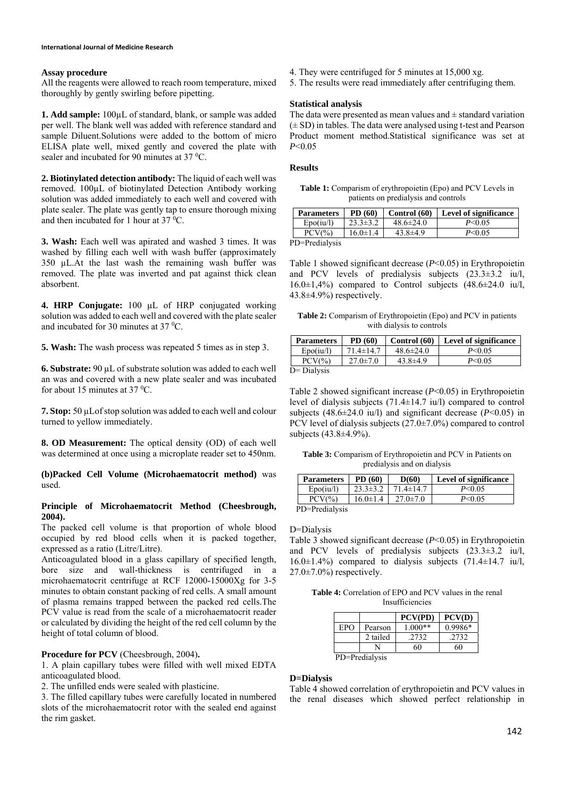## **Assay procedure**

All the reagents were allowed to reach room temperature, mixed thoroughly by gently swirling before pipetting.

**1. Add sample:** 100µL of standard, blank, or sample was added per well. The blank well was added with reference standard and sample Diluent.Solutions were added to the bottom of micro ELISA plate well, mixed gently and covered the plate with sealer and incubated for 90 minutes at  $37 \text{ °C}$ .

**2. Biotinylated detection antibody:** The liquid of each well was removed. 100µL of biotinylated Detection Antibody working solution was added immediately to each well and covered with plate sealer. The plate was gently tap to ensure thorough mixing and then incubated for 1 hour at  $37 \text{ °C}$ .

**3. Wash:** Each well was apirated and washed 3 times. It was washed by filling each well with wash buffer (approximately 350 µL.At the last wash the remaining wash buffer was removed. The plate was inverted and pat against thick clean absorbent.

**4. HRP Conjugate:** 100 µL of HRP conjugated working solution was added to each well and covered with the plate sealer and incubated for 30 minutes at  $37 \text{ °C}$ .

**5. Wash:** The wash process was repeated 5 times as in step 3.

**6. Substrate:** 90 µL of substrate solution was added to each well an was and covered with a new plate sealer and was incubated for about 15 minutes at 37 $\rm ^{0}C$ .

**7. Stop:** 50 µLof stop solution was added to each well and colour turned to yellow immediately.

**8. OD Measurement:** The optical density (OD) of each well was determined at once using a microplate reader set to 450nm.

**(b)Packed Cell Volume (Microhaematocrit method)** was used.

### **Principle of Microhaematocrit Method (Cheesbrough, 2004).**

The packed cell volume is that proportion of whole blood occupied by red blood cells when it is packed together, expressed as a ratio (Litre/Litre).

Anticoagulated blood in a glass capillary of specified length, bore size and wall-thickness is centrifuged in a microhaematocrit centrifuge at RCF 12000-15000Xg for 3-5 minutes to obtain constant packing of red cells. A small amount of plasma remains trapped between the packed red cells.The PCV value is read from the scale of a microhaematocrit reader or calculated by dividing the height of the red cell column by the height of total column of blood.

## **Procedure for PCV** (Cheesbrough, 2004)**.**

1. A plain capillary tubes were filled with well mixed EDTA anticoagulated blood.

2. The unfilled ends were sealed with plasticine.

3. The filled capillary tubes were carefully located in numbered slots of the microhaematocrit rotor with the sealed end against the rim gasket.

- 4. They were centrifuged for 5 minutes at 15,000 xg.
- 5. The results were read immediately after centrifuging them.

### **Statistical analysis**

The data were presented as mean values and  $\pm$  standard variation  $(\pm SD)$  in tables. The data were analysed using t-test and Pearson Product moment method.Statistical significance was set at *P*<0.05

#### **Results**

**Table 1:** Comparism of erythropoietin (Epo) and PCV Levels in patients on predialysis and controls

| <b>Parameters</b> | PD (60)        | Control $(60)$  | <b>Level of significance</b> |
|-------------------|----------------|-----------------|------------------------------|
| Epo(iu/l)         | $23.3 \pm 3.2$ | $48.6 \pm 24.0$ | $P \le 0.05$                 |
| $PCV(\%)$         | $16.0 \pm 1.4$ | $43.8 \pm 4.9$  | $P \le 0.05$                 |
| 'D=Predialysis    |                |                 |                              |

PD=Predialysis

Table 1 showed significant decrease (*P*<0.05) in Erythropoietin and PCV levels of predialysis subjects (23.3±3.2 iu/l,  $16.0\pm1,4\%$  compared to Control subjects  $(48.6\pm24.0 \text{ iu/l},$ 43.8±4.9%) respectively.

**Table 2:** Comparism of Erythropoietin (Epo) and PCV in patients with dialysis to controls

| <b>Parameters</b> | PD (60)         | Control (60)    | Level of significance |
|-------------------|-----------------|-----------------|-----------------------|
| Epo(iu/l)         | $71.4 \pm 14.7$ | $48.6 \pm 24.0$ | $P \le 0.05$          |
| $PCV(\%)$         | $27.0 \pm 7.0$  | $43.8 \pm 4.9$  | $P \le 0.05$          |
| $D = Dialysis$    |                 |                 |                       |

Table 2 showed significant increase (*P*<0.05) in Erythropoietin level of dialysis subjects (71.4±14.7 iu/l) compared to control subjects (48.6±24.0 iu/l) and significant decrease (*P*<0.05) in PCV level of dialysis subjects (27.0±7.0%) compared to control subjects (43.8±4.9%).

**Table 3:** Comparism of Erythropoietin and PCV in Patients on predialysis and on dialysis

| <b>Parameters</b> | PD (60)        | D(60)           | <b>Level of significance</b> |
|-------------------|----------------|-----------------|------------------------------|
| Epo(iu/l)         | $23.3 \pm 3.2$ | $71.4 \pm 14.7$ | $P \le 0.05$                 |
| $PCV(\%)$         | $16.0 \pm 1.4$ | $27.0 \pm 7.0$  | $P \le 0.05$                 |
| PD=Predialysis    |                |                 |                              |

D=Dialysis

Table 3 showed significant decrease (*P*<0.05) in Erythropoietin and PCV levels of predialysis subjects (23.3±3.2 iu/l, 16.0±1.4%) compared to dialysis subjects (71.4±14.7 iu/l,  $27.0 \pm 7.0\%$ ) respectively.

**Table 4:** Correlation of EPO and PCV values in the renal Insufficiencies

|                |          | PCV(PD)   | PCV(D)    |  |
|----------------|----------|-----------|-----------|--|
| EPO            | Pearson  | $1.000**$ | $0.9986*$ |  |
|                | 2 tailed | .2732     | .2732     |  |
|                |          | 60        |           |  |
| PD=Predialysis |          |           |           |  |

### **D=Dialysis**

Table 4 showed correlation of erythropoietin and PCV values in the renal diseases which showed perfect relationship in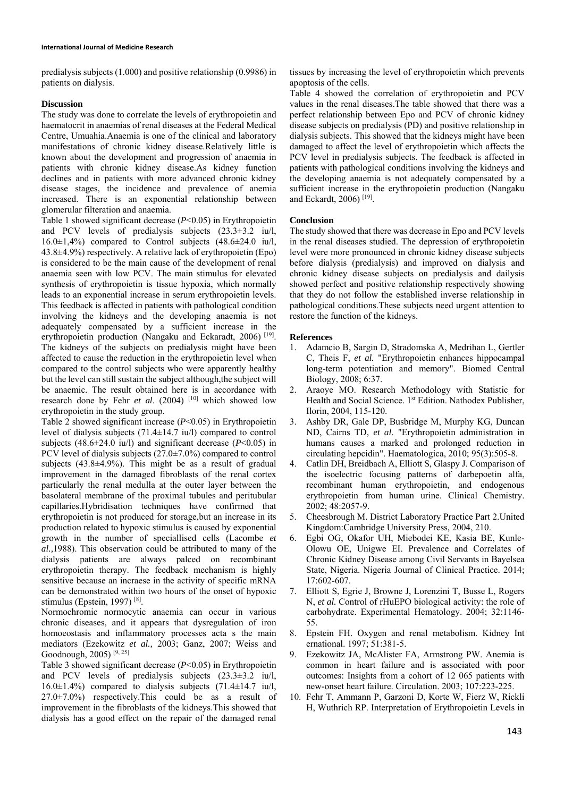predialysis subjects (1.000) and positive relationship (0.9986) in patients on dialysis.

#### **Discussion**

The study was done to correlate the levels of erythropoietin and haematocrit in anaemias of renal diseases at the Federal Medical Centre, Umuahia.Anaemia is one of the clinical and laboratory manifestations of chronic kidney disease.Relatively little is known about the development and progression of anaemia in patients with chronic kidney disease.As kidney function declines and in patients with more advanced chronic kidney disease stages, the incidence and prevalence of anemia increased. There is an exponential relationship between glomerular filteration and anaemia.

Table 1 showed significant decrease (*P*<0.05) in Erythropoietin and PCV levels of predialysis subjects (23.3±3.2 iu/l,  $16.0\pm1,4\%$  compared to Control subjects  $(48.6\pm24.0 \text{ iu/l},$ 43.8±4.9%) respectively. A relative lack of erythropoietin (Epo) is considered to be the main cause of the development of renal anaemia seen with low PCV. The main stimulus for elevated synthesis of erythropoietin is tissue hypoxia, which normally leads to an exponential increase in serum erythropoietin levels. This feedback is affected in patients with pathological condition involving the kidneys and the developing anaemia is not adequately compensated by a sufficient increase in the erythropoietin production (Nangaku and Eckaradt, 2006)<sup>[19]</sup>. The kidneys of the subjects on predialysis might have been affected to cause the reduction in the erythropoietin level when compared to the control subjects who were apparently healthy but the level can still sustain the subject although,the subject will be anaemic. The result obtained here is in accordance with research done by Fehr *et al.* (2004) <sup>[10]</sup> which showed low erythropoietin in the study group.

Table 2 showed significant increase (*P*<0.05) in Erythropoietin level of dialysis subjects (71.4±14.7 iu/l) compared to control subjects  $(48.6 \pm 24.0 \text{ iu/l})$  and significant decrease  $(P<0.05)$  in PCV level of dialysis subjects (27.0±7.0%) compared to control subjects (43.8±4.9%). This might be as a result of gradual improvement in the damaged fibroblasts of the renal cortex particularly the renal medulla at the outer layer between the basolateral membrane of the proximal tubules and peritubular capillaries.Hybridisation techniques have confirmed that erythropoietin is not produced for storage,but an increase in its production related to hypoxic stimulus is caused by exponential growth in the number of speciallised cells (Lacombe *et al.,*1988). This observation could be attributed to many of the dialysis patients are always palced on recombinant erythropoietin therapy. The feedback mechanism is highly sensitive because an incraese in the activity of specific mRNA can be demonstrated within two hours of the onset of hypoxic stimulus (Epstein, 1997) [8].

Normochromic normocytic anaemia can occur in various chronic diseases, and it appears that dysregulation of iron homoeostasis and inflammatory processes acta s the main mediators (Ezekowitz *et al.,* 2003; Ganz, 2007; Weiss and Goodnough, 2005) [9, 25]

Table 3 showed significant decrease (*P*<0.05) in Erythropoietin and PCV levels of predialysis subjects (23.3±3.2 iu/l,  $16.0\pm1.4\%$ ) compared to dialysis subjects (71.4 $\pm$ 14.7 iu/l, 27.0±7.0%) respectively.This could be as a result of improvement in the fibroblasts of the kidneys.This showed that dialysis has a good effect on the repair of the damaged renal

tissues by increasing the level of erythropoietin which prevents apoptosis of the cells.

Table 4 showed the correlation of erythropoietin and PCV values in the renal diseases.The table showed that there was a perfect relationship between Epo and PCV of chronic kidney disease subjects on predialysis (PD) and positive relationship in dialysis subjects. This showed that the kidneys might have been damaged to affect the level of erythropoietin which affects the PCV level in predialysis subjects. The feedback is affected in patients with pathological conditions involving the kidneys and the developing anaemia is not adequately compensated by a sufficient increase in the erythropoietin production (Nangaku and Eckardt, 2006) [19].

### **Conclusion**

The study showed that there was decrease in Epo and PCV levels in the renal diseases studied. The depression of erythropoietin level were more pronounced in chronic kidney disease subjects before dialysis (predialysis) and improved on dialysis and chronic kidney disease subjects on predialysis and dailysis showed perfect and positive relationship respectively showing that they do not follow the established inverse relationship in pathological conditions.These subjects need urgent attention to restore the function of the kidneys.

### **References**

- 1. Adamcio B, Sargin D, Stradomska A, Medrihan L, Gertler C, Theis F, *et al.* "Erythropoietin enhances hippocampal long-term potentiation and memory". Biomed Central Biology, 2008; 6:37.
- 2. Araoye MO. Research Methodology with Statistic for Health and Social Science. 1<sup>st</sup> Edition. Nathodex Publisher, Ilorin, 2004, 115-120.
- 3. Ashby DR, Gale DP, Busbridge M, Murphy KG, Duncan ND, Cairns TD, *et al.* "Erythropoietin administration in humans causes a marked and prolonged reduction in circulating hepcidin". Haematologica, 2010; 95(3):505-8.
- 4. Catlin DH, Breidbach A, Elliott S, Glaspy J. Comparison of the isoelectric focusing patterns of darbepoetin alfa, recombinant human erythropoietin, and endogenous erythropoietin from human urine. Clinical Chemistry. 2002; 48:2057-9.
- 5. Cheesbrough M. District Laboratory Practice Part 2.United Kingdom:Cambridge University Press, 2004, 210.
- 6. Egbi OG, Okafor UH, Miebodei KE, Kasia BE, Kunle-Olowu OE, Unigwe EI. Prevalence and Correlates of Chronic Kidney Disease among Civil Servants in Bayelsea State, Nigeria. Nigeria Journal of Clinical Practice. 2014; 17:602-607.
- 7. Elliott S, Egrie J, Browne J, Lorenzini T, Busse L, Rogers N, *et al.* Control of rHuEPO biological activity: the role of carbohydrate. Experimental Hematology. 2004; 32:1146- 55.
- 8. Epstein FH. Oxygen and renal metabolism. Kidney Int ernational. 1997; 51:381-5.
- 9. Ezekowitz JA, McAlister FA, Armstrong PW. Anemia is common in heart failure and is associated with poor outcomes: Insights from a cohort of 12 065 patients with new-onset heart failure. Circulation. 2003; 107:223-225.
- 10. Fehr T, Ammann P, Garzoni D, Korte W, Fierz W, Rickli H, Wuthrich RP. Interpretation of Erythropoietin Levels in